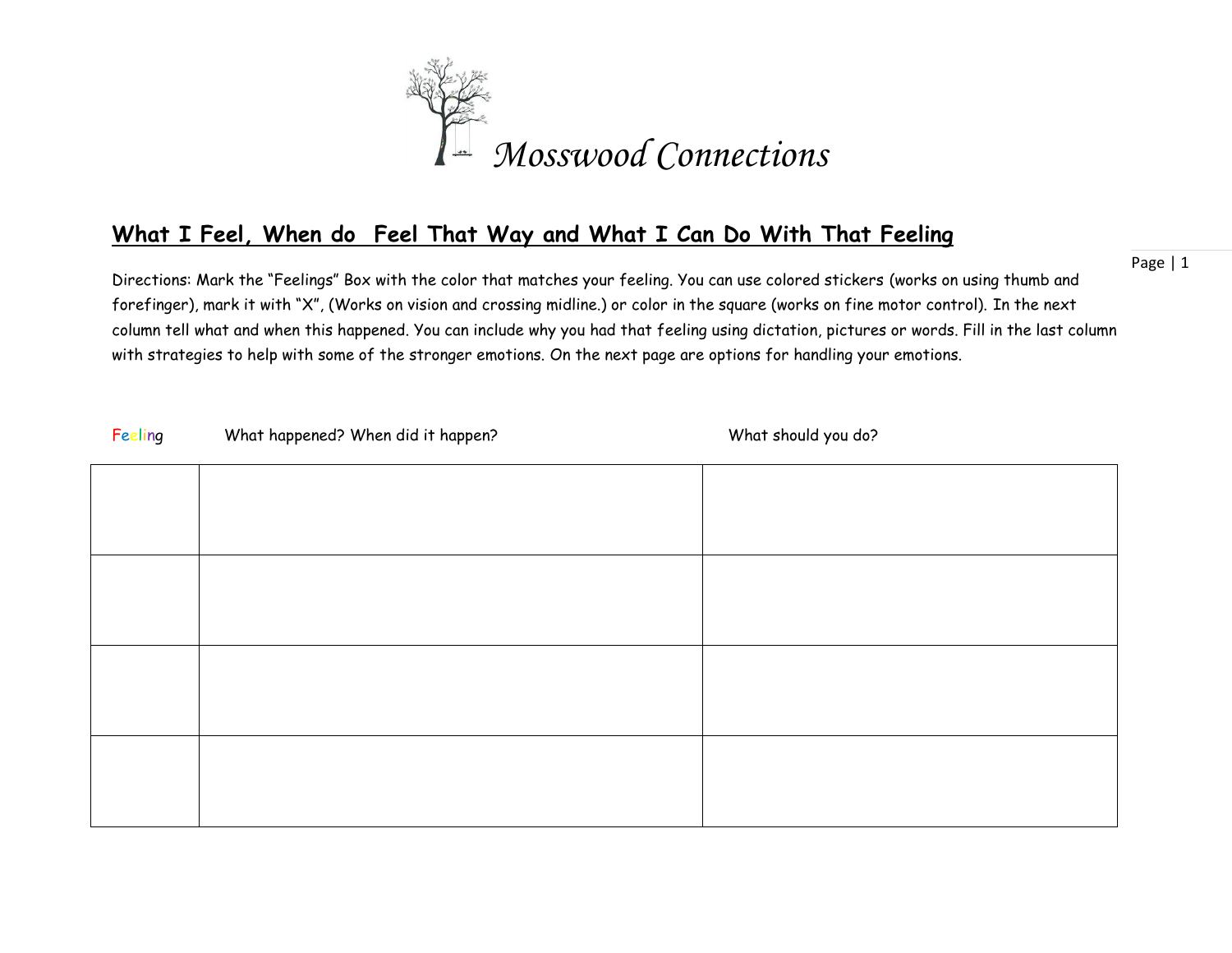

## **What I Feel, When do Feel That Way and What I Can Do With That Feeling**

Directions: Mark the "Feelings" Box with the color that matches your feeling. You can use colored stickers (works on using thumb and forefinger), mark it with "X", (Works on vision and crossing midline.) or color in the square (works on fine motor control). In the next column tell what and when this happened. You can include why you had that feeling using dictation, pictures or words. Fill in the last column with strategies to help with some of the stronger emotions. On the next page are options for handling your emotions.

| Feeling | What happened? When did it happen? | What should you do? |
|---------|------------------------------------|---------------------|
|         |                                    |                     |
|         |                                    |                     |
|         |                                    |                     |
|         |                                    |                     |
|         |                                    |                     |
|         |                                    |                     |
|         |                                    |                     |
|         |                                    |                     |

Page | 1